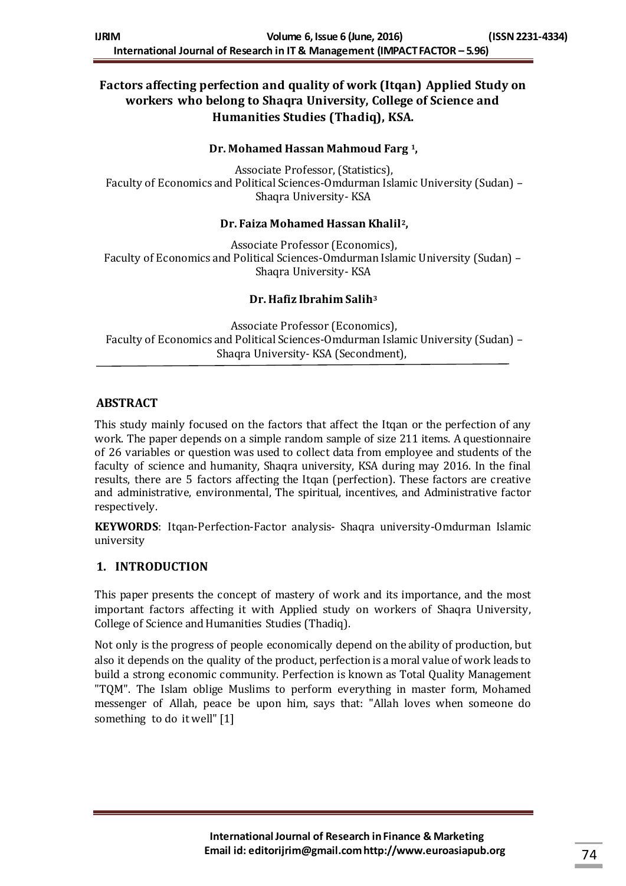# **Factors affecting perfection and quality of work (Itqan) Applied Study on workers who belong to Shaqra University, College of Science and Humanities Studies (Thadiq), KSA.**

#### **Dr. Mohamed Hassan Mahmoud Farg <sup>1</sup>,**

Associate Professor, (Statistics), Faculty of Economics and Political Sciences-Omdurman Islamic University (Sudan) – Shaqra University- KSA

#### **Dr. Faiza Mohamed Hassan Khalil2,**

Associate Professor (Economics), Faculty of Economics and Political Sciences-Omdurman Islamic University (Sudan) – Shaqra University- KSA

#### **Dr. Hafiz Ibrahim Salih<sup>3</sup>**

Associate Professor (Economics), Faculty of Economics and Political Sciences-Omdurman Islamic University (Sudan) – Shaqra University- KSA (Secondment),

## **ABSTRACT**

This study mainly focused on the factors that affect the Itqan or the perfection of any work. The paper depends on a simple random sample of size 211 items. A questionnaire of 26 variables or question was used to collect data from employee and students of the faculty of science and humanity, Shaqra university, KSA during may 2016. In the final results, there are 5 factors affecting the Itqan (perfection). These factors are creative and administrative, environmental, The spiritual, incentives, and Administrative factor respectively.

**KEYWORDS**: Itqan-Perfection-Factor analysis- Shaqra university-Omdurman Islamic university

#### **1. INTRODUCTION**

This paper presents the concept of mastery of work and its importance, and the most important factors affecting it with Applied study on workers of Shaqra University, College of Science and Humanities Studies (Thadiq).

Not only is the progress of people economically depend on the ability of production, but also it depends on the quality of the product, perfection is a moral value of work leads to build a strong economic community. Perfection is known as Total Quality Management "TQM". The Islam oblige Muslims to perform everything in master form, Mohamed messenger of Allah, peace be upon him, says that: "Allah loves when someone do something to do it well" [1]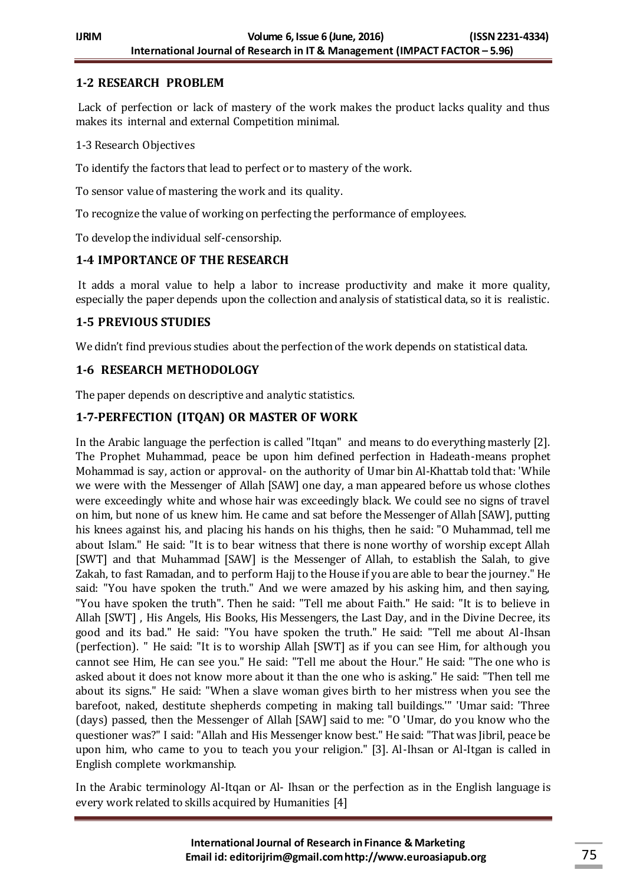## **1-2 RESEARCH PROBLEM**

Lack of perfection or lack of mastery of the work makes the product lacks quality and thus makes its internal and external Competition minimal.

1-3 Research Objectives

To identify the factors that lead to perfect or to mastery of the work.

To sensor value of mastering the work and its quality.

To recognize the value of working on perfecting the performance of employees.

To develop the individual self-censorship.

## **1-4 IMPORTANCE OF THE RESEARCH**

It adds a moral value to help a labor to increase productivity and make it more quality, especially the paper depends upon the collection and analysis of statistical data, so it is realistic.

## **1-5 PREVIOUS STUDIES**

We didn't find previous studies about the perfection of the work depends on statistical data.

## **1-6 RESEARCH METHODOLOGY**

The paper depends on descriptive and analytic statistics.

## **1-7-PERFECTION (ITQAN) OR MASTER OF WORK**

In the Arabic language the perfection is called "Itqan" and means to do everything masterly [2]. The Prophet Muhammad, peace be upon him defined perfection in Hadeath-means prophet Mohammad is say, action or approval- on the authority of Umar bin Al-Khattab told that: 'While we were with the Messenger of Allah [SAW] one day, a man appeared before us whose clothes were exceedingly white and whose hair was exceedingly black. We could see no signs of travel on him, but none of us knew him. He came and sat before the Messenger of Allah [SAW], putting his knees against his, and placing his hands on his thighs, then he said: "O Muhammad, tell me about Islam." He said: "It is to bear witness that there is none worthy of worship except Allah [SWT] and that Muhammad [SAW] is the Messenger of Allah, to establish the Salah, to give Zakah, to fast Ramadan, and to perform Hajj to the House if you are able to bear the journey." He said: "You have spoken the truth." And we were amazed by his asking him, and then saying, "You have spoken the truth". Then he said: "Tell me about Faith." He said: "It is to believe in Allah [SWT] , His Angels, His Books, His Messengers, the Last Day, and in the Divine Decree, its good and its bad." He said: "You have spoken the truth." He said: "Tell me about Al-Ihsan (perfection). " He said: "It is to worship Allah [SWT] as if you can see Him, for although you cannot see Him, He can see you." He said: "Tell me about the Hour." He said: "The one who is asked about it does not know more about it than the one who is asking." He said: "Then tell me about its signs." He said: "When a slave woman gives birth to her mistress when you see the barefoot, naked, destitute shepherds competing in making tall buildings.'" 'Umar said: 'Three (days) passed, then the Messenger of Allah [SAW] said to me: "O 'Umar, do you know who the questioner was?" I said: "Allah and His Messenger know best." He said: "That was Jibril, peace be upon him, who came to you to teach you your religion." [3]. Al-Ihsan or Al-Itgan is called in English complete workmanship.

In the Arabic terminology Al-Itqan or Al- Ihsan or the perfection as in the English language is every work related to skills acquired by Humanities [4]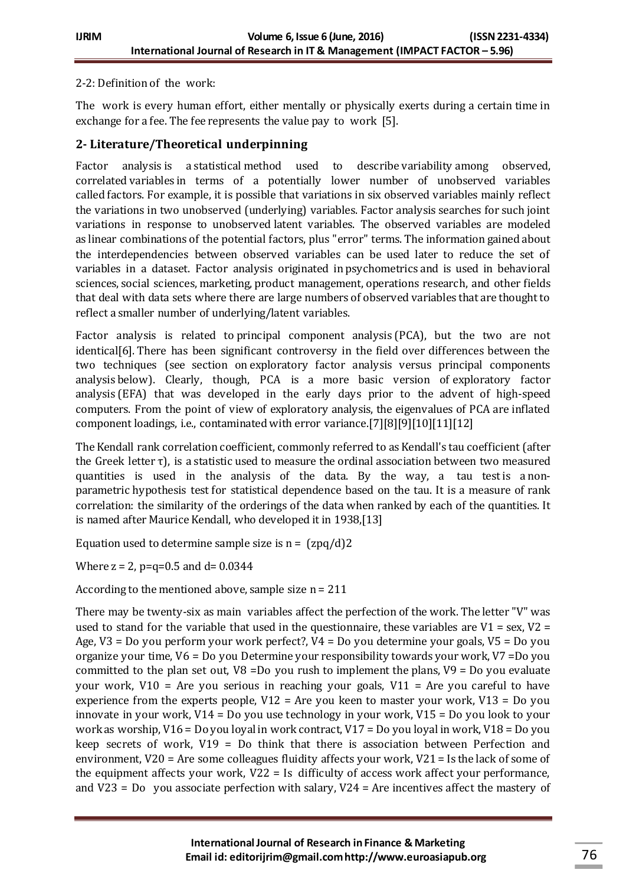#### 2-2: Definition of the work:

The work is every human effort, either mentally or physically exerts during a certain time in exchange for a fee. The fee represents the value pay to work [5].

### **2- Literature/Theoretical underpinning**

Factor analysis is a [statistical](https://en.wikipedia.org/wiki/Statistics) method used to describe [variability](https://en.wikipedia.org/wiki/Variance) among observed, correlated [variables](https://en.wikipedia.org/wiki/Variable_(mathematics)) in terms of a potentially lower number of unobserved variables called factors. For example, it is possible that variations in six observed variables mainly reflect the variations in two unobserved (underlying) variables. Factor analysis searches for such joint variations in response to unobserved [latent variables.](https://en.wikipedia.org/wiki/Latent_variable) The observed variables are modeled as [linear combinations](https://en.wikipedia.org/wiki/Linear_combination) of the potential factors, plus ["error](https://en.wikipedia.org/wiki/Errors_and_residuals_in_statistics)" terms. The information gained about the interdependencies between observed variables can be used later to reduce the set of variables in a dataset. Factor analysis originated in [psychometrics](https://en.wikipedia.org/wiki/Psychometrics) and is used in behavioral sciences, [social sciences,](https://en.wikipedia.org/wiki/Social_sciences) [marketing,](https://en.wikipedia.org/wiki/Marketing) [product management,](https://en.wikipedia.org/wiki/Product_management) [operations research,](https://en.wikipedia.org/wiki/Operations_research) and other fields that deal with data sets where there are large numbers of observed variables that are thought to reflect a smaller number of underlying/latent variables.

Factor analysis is related to [principal component analysis](https://en.wikipedia.org/wiki/Principal_component_analysis) (PCA), but the two are not identica[l\[6\].](https://en.wikipedia.org/wiki/Factor_analysis#cite_note-Bartholomew2008-1) There has been significant controversy in the field over differences between the two techniques (see section on [exploratory factor analysis versus principal components](https://en.wikipedia.org/wiki/Factor_analysis#Exploratory_factor_analysis_versus_principal_components_analysis)  [analysis](https://en.wikipedia.org/wiki/Factor_analysis#Exploratory_factor_analysis_versus_principal_components_analysis) below). Clearly, though, PCA is a more basic version of [exploratory factor](https://en.wikipedia.org/wiki/Exploratory_factor_analysis)  [analysis](https://en.wikipedia.org/wiki/Exploratory_factor_analysis) (EFA) that was developed in the early days prior to the advent of high-speed computers. From the point of view of exploratory analysis, the eigenvalues of PCA are inflated component loadings, i.e., contaminated with error varianc[e.\[7\]\[8\]](https://en.wikipedia.org/wiki/Factor_analysis#cite_note-2)[\[9\]\[10\]](https://en.wikipedia.org/wiki/Factor_analysis#cite_note-4)[\[11\]\[12\]](https://en.wikipedia.org/wiki/Factor_analysis#cite_note-6)

The Kendall rank correlation coefficient, commonly referred to as Kendall's tau coefficient (after the Greek letter [τ](https://en.wikipedia.org/wiki/%CE%A4)), is a [statistic](https://en.wikipedia.org/wiki/Statistic) used to measure the [ordinal association](https://en.wikipedia.org/wiki/Ordinal_association) between two measured quantities is used in the analysis of the data. By the way, a tau test is a [non](https://en.wikipedia.org/wiki/Non-parametric_statistics)[parametric](https://en.wikipedia.org/wiki/Non-parametric_statistics) [hypothesis test](https://en.wikipedia.org/wiki/Hypothesis_test) for statistical dependence based on the tau. It is a measure of [rank](https://en.wikipedia.org/wiki/Rank_correlation)  [correlation:](https://en.wikipedia.org/wiki/Rank_correlation) the similarity of the orderings of the data when [ranked](https://en.wikipedia.org/wiki/Ranked) by each of the quantities. It is named after [Maurice Kendall,](https://en.wikipedia.org/wiki/Maurice_Kendall) who developed it in 193[8,\[13\]](https://en.wikipedia.org/wiki/Kendall_rank_correlation_coefficient#cite_note-1)

Equation used to determine sample size is  $n = \frac{2pq}{d}$ ?

Where  $z = 2$ ,  $p=q=0.5$  and  $d=0.0344$ 

According to the mentioned above, sample size n = 211

There may be twenty-six as main variables affect the perfection of the work. The letter "V" was used to stand for the variable that used in the questionnaire, these variables are  $V1 = sex$ ,  $V2 =$ Age, V3 = Do you perform your work perfect?, V4 = Do you determine your goals, V5 = Do you organize your time, V6 = Do you Determine your responsibility towards your work, V7 =Do you committed to the plan set out, V8 =Do you rush to implement the plans, V9 = Do you evaluate your work,  $V10 =$  Are you serious in reaching your goals,  $V11 =$  Are you careful to have experience from the experts people,  $V12 =$  Are you keen to master your work,  $V13 =$  Do you innovate in your work, V14 = Do you use technology in your work, V15 = Do you look to your work as worship, V16 = Do you loyal in work contract, V17 = Do you loyal in work, V18 = Do you keep secrets of work, V19 = Do think that there is association between Perfection and environment, V20 = Are some colleagues fluidity affects your work, V21 = Is the lack of some of the equipment affects your work, V22 = Is difficulty of access work affect your performance, and V23 = Do you associate perfection with salary, V24 = Are incentives affect the mastery of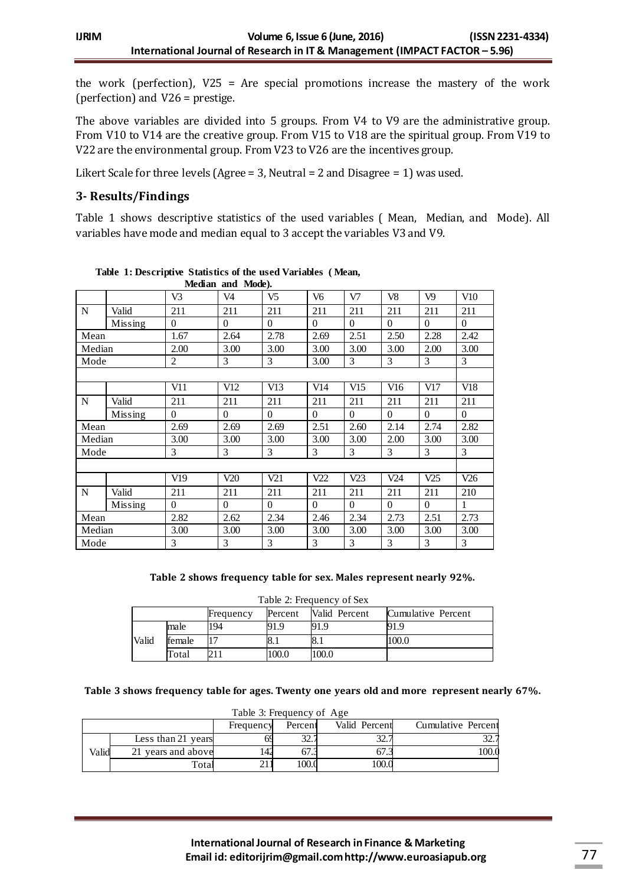the work (perfection), V25 = Are special promotions increase the mastery of the work (perfection) and V26 = prestige.

The above variables are divided into 5 groups. From V4 to V9 are the administrative group. From V10 to V14 are the creative group. From V15 to V18 are the spiritual group. From V19 to V22 are the environmental group. From V23 to V26 are the incentives group.

Likert Scale for three levels (Agree = 3, Neutral = 2 and Disagree = 1) was used.

## **3- Results/Findings**

Table 1 shows descriptive statistics of the used variables ( Mean, Median, and Mode). All variables have mode and median equal to 3 accept the variables V3 and V9.

| Median and Mode). |         |                |                |                |                |          |          |                 |          |
|-------------------|---------|----------------|----------------|----------------|----------------|----------|----------|-----------------|----------|
|                   |         | V <sub>3</sub> | V <sub>4</sub> | V <sub>5</sub> | V <sub>6</sub> | V7       | V8       | V <sub>9</sub>  | V10      |
| N                 | Valid   | 211            | 211            | 211            | 211            | 211      | 211      | 211             | 211      |
|                   | Missing | $\Omega$       | $\Omega$       | $\theta$       | $\theta$       | $\Omega$ | $\theta$ | $\theta$        | $\theta$ |
| Mean              |         | 1.67           | 2.64           | 2.78           | 2.69           | 2.51     | 2.50     | 2.28            | 2.42     |
| Median            |         | 2.00           | 3.00           | 3.00           | 3.00           | 3.00     | 3.00     | 2.00            | 3.00     |
| Mode              |         | $\overline{c}$ | 3              | 3              | 3.00           | 3        | 3        | 3               | 3        |
|                   |         |                |                |                |                |          |          |                 |          |
|                   |         | V11            | V12            | V13            | V14            | V15      | V16      | V17             | V18      |
| N                 | Valid   | 211            | 211            | 211            | 211            | 211      | 211      | 211             | 211      |
|                   | Missing | $\theta$       | $\Omega$       | $\theta$       | $\theta$       | $\Omega$ | $\theta$ | $\theta$        | $\theta$ |
| Mean              |         | 2.69           | 2.69           | 2.69           | 2.51           | 2.60     | 2.14     | 2.74            | 2.82     |
| Median            |         | 3.00           | 3.00           | 3.00           | 3.00           | 3.00     | 2.00     | 3.00            | 3.00     |
| Mode              |         | 3              | 3              | 3              | 3              | 3        | 3        | 3               | 3        |
|                   |         |                |                |                |                |          |          |                 |          |
|                   |         | V19            | V20            | V21            | V22            | V23      | V24      | V <sub>25</sub> | V26      |
| N                 | Valid   | 211            | 211            | 211            | 211            | 211      | 211      | 211             | 210      |
|                   | Missing | $\theta$       | $\Omega$       | $\theta$       | $\theta$       | $\Omega$ | $\theta$ | $\theta$        | 1        |
| Mean              |         | 2.82           | 2.62           | 2.34           | 2.46           | 2.34     | 2.73     | 2.51            | 2.73     |
| Median            |         | 3.00           | 3.00           | 3.00           | 3.00           | 3.00     | 3.00     | 3.00            | 3.00     |
| Mode              |         | 3              | 3              | 3              | 3              | 3        | 3        | 3               | 3        |

| Table 1: Descriptive Statistics of the used Variables (Mean, |  |  |  |
|--------------------------------------------------------------|--|--|--|
|--------------------------------------------------------------|--|--|--|

#### **Table 2 shows frequency table for sex. Males represent nearly 92%.**

|       | Table 2: Frequency of Sex |           |         |               |                    |  |  |  |  |  |
|-------|---------------------------|-----------|---------|---------------|--------------------|--|--|--|--|--|
|       |                           | Frequency | Percent | Valid Percent | Cumulative Percent |  |  |  |  |  |
|       | male                      | 194       | 91.9    | 91.9          | 91.9               |  |  |  |  |  |
| Valid | female                    |           |         | 8.1           | 100.0              |  |  |  |  |  |
|       | Total                     |           | 100.0   | 100.0         |                    |  |  |  |  |  |

#### **Table 3 shows frequency table for ages. Twenty one years old and more represent nearly 67%.**

|       | Table 3: Frequency of Age |           |                |               |                    |  |  |  |  |  |
|-------|---------------------------|-----------|----------------|---------------|--------------------|--|--|--|--|--|
|       |                           | Frequency | Percent        | Valid Percent | Cumulative Percent |  |  |  |  |  |
|       | Less than 21 years        |           | $\mathfrak{D}$ |               |                    |  |  |  |  |  |
| Valid | 21 years and above        | 142       |                |               |                    |  |  |  |  |  |
|       | <b>Total</b>              |           | 100.0          | 100.          |                    |  |  |  |  |  |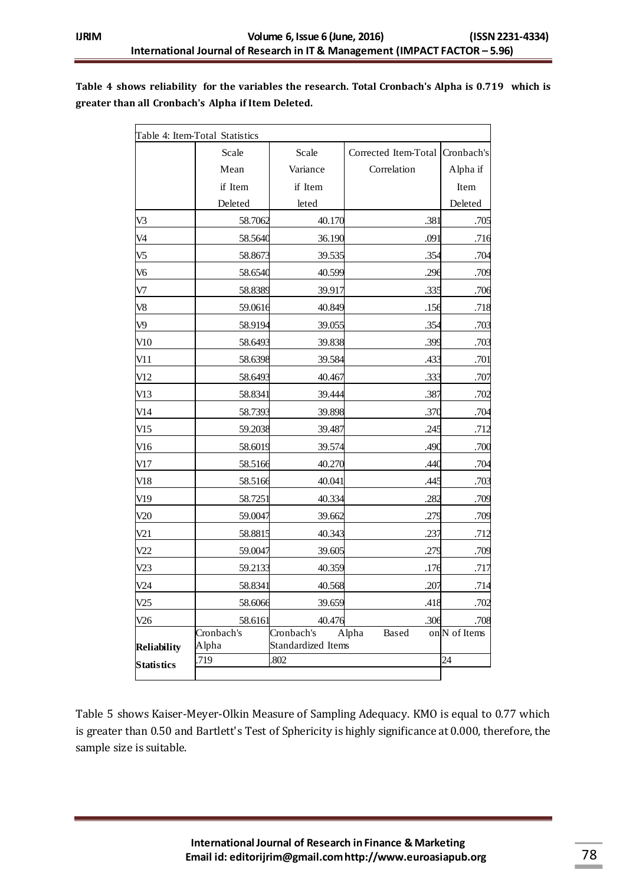#### **Table 4 shows reliability for the variables the research. Total Cronbach's Alpha is 0.719 which is greater than all Cronbach's Alpha if Item Deleted.**

|                    | Table 4: Item-Total Statistics |                           |                      |               |
|--------------------|--------------------------------|---------------------------|----------------------|---------------|
|                    | Scale                          | Scale                     | Corrected Item-Total | Cronbach's    |
|                    | Mean                           | Variance                  | Correlation          | Alpha if      |
|                    | if Item                        | if Item                   |                      | Item          |
|                    | Deleted                        | leted                     |                      | Deleted       |
| V3                 | 58.7062                        | 40.170                    | .381                 | .705          |
| V <sub>4</sub>     | 58.5640                        | 36.190                    | .091                 | .716          |
| V <sub>5</sub>     | 58.8673                        | 39.535                    | .354                 | .704          |
| V <sub>6</sub>     | 58.6540                        | 40.599                    | .296                 | .709          |
| V7                 | 58.8389                        | 39.917                    | .335                 | .706          |
| V <sub>8</sub>     | 59.0616                        | 40.849                    | .156                 | .718          |
| V <sub>9</sub>     | 58.9194                        | 39.055                    | .354                 | .703          |
| V10                | 58.6493                        | 39.838                    | .399                 | .703          |
| V11                | 58.6398                        | 39.584                    | .433                 | .701          |
| V12                | 58.6493                        | 40.467                    | .333                 | .707          |
| V13                | 58.8341                        | 39.444                    | .387                 | .702          |
| V14                | 58.7393                        | 39.898                    | .370                 | .704          |
| V15                | 59.2038                        | 39.487                    | .245                 | .712          |
| V16                | 58.6019                        | 39.574                    | .490                 | .700          |
| V17                | 58.5166                        | 40.270                    | .440                 | .704          |
| V18                | 58.5166                        | 40.041                    | .445                 | .703          |
| V19                | 58.7251                        | 40.334                    | .282                 | .709          |
| V20                | 59.0047                        | 39.662                    | .279                 | .709          |
| V21                | 58.8815                        | 40.343                    | .237                 | .712          |
| V22                | 59.0047                        | 39.605                    | .279                 | .709          |
| V23                | 59.2133                        | 40.359                    | .176                 | .717          |
| V24                | 58.8341                        | 40.568                    | .207                 | .714          |
| V25                | 58.6066                        | 39.659                    | .418                 | .702          |
| V26                | 58.6161                        | 40.476                    | .306                 | .708          |
|                    | Cronbach's                     | Cronbach's                | Alpha<br>Based       | on N of Items |
| <b>Reliability</b> | Alpha<br>.719                  | Standardized Items<br>802 |                      | 24            |
| <b>Statistics</b>  |                                |                           |                      |               |

Table 5 shows Kaiser-Meyer-Olkin Measure of Sampling Adequacy. KMO is equal to 0.77 which is greater than 0.50 and Bartlett's Test of Sphericity is highly significance at 0.000, therefore, the sample size is suitable.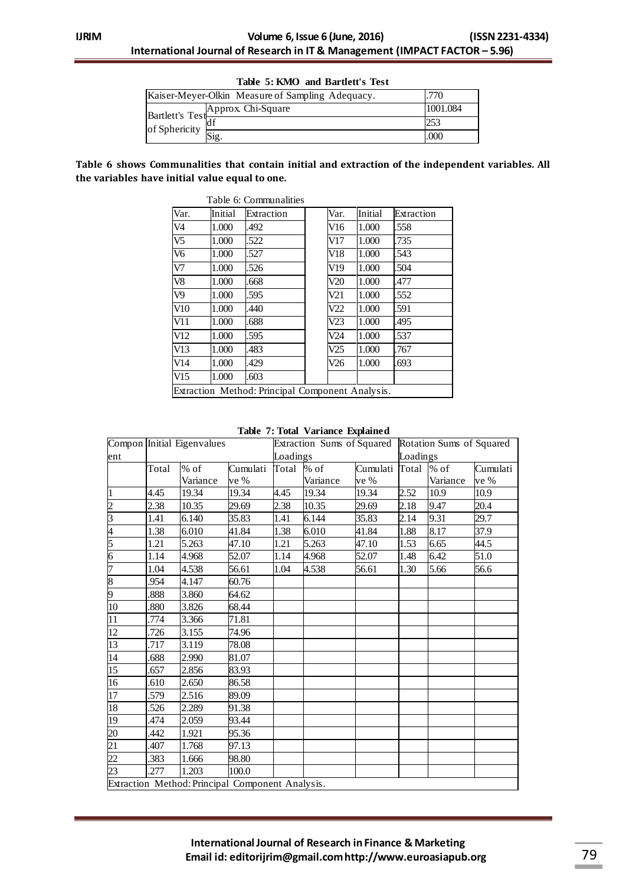|                             | Table 5: KMO and Bartlett's Test                 |          |
|-----------------------------|--------------------------------------------------|----------|
|                             | Kaiser-Meyer-Olkin Measure of Sampling Adequacy. | .770     |
|                             | Bartlett's Test Approx Chi-Square                | 1001.084 |
| of Sphericity $\frac{a}{6}$ |                                                  | 253      |
|                             | Sig.                                             | .000     |

#### **Table 6 shows Communalities that contain initial and extraction of the independent variables. All the variables have initial value equal to one.**

| Var.                   | Initial | Extraction | Var. | Initial | Extraction |
|------------------------|---------|------------|------|---------|------------|
| V4                     | 1.000   | .492       | V16  | 1.000   | .558       |
| $\overline{\text{V5}}$ | 1.000   | .522       | V17  | 1.000   | .735       |
| V <sub>6</sub>         | 1.000   | .527       | V18  | 1.000   | .543       |
| V7                     | 1.000   | .526       | V19  | 1.000   | .504       |
| V8                     | 1.000   | .668       | V20  | 1.000   | .477       |
| V9                     | 1.000   | .595       | V21  | 1.000   | .552       |
| V10                    | 1.000   | .440       | V22  | 1.000   | .591       |
| V11                    | 1.000   | .688       | V23  | 1.000   | .495       |
| V12                    | 1.000   | .595       | V24  | 1.000   | .537       |
| V13                    | 1.000   | .483       | V25  | 1.000   | .767       |
| V14                    | 1.000   | .429       | V26  | 1.000   | .693       |
| V15                    | 1.000   | .603       |      |         |            |

| Table 7: Total Variance Explained |  |
|-----------------------------------|--|
|-----------------------------------|--|

|                                    |       | Compon Initial Eigenvalues                       |          |            |          |                      |          | Extraction Sums of Squared Rotation Sums of Squared |          |  |
|------------------------------------|-------|--------------------------------------------------|----------|------------|----------|----------------------|----------|-----------------------------------------------------|----------|--|
| ent                                |       |                                                  |          | Loadings   |          |                      | Loadings |                                                     |          |  |
|                                    | Total | $\%$ of                                          | Cumulati | Total % of |          | Cumulati Total \% of |          |                                                     | Cumulati |  |
|                                    |       | Variance                                         | ve %     |            | Variance | ve %                 |          | Variance                                            | ve %     |  |
| $\overline{1}$                     | 4.45  | 19.34                                            | 19.34    | 4.45       | 19.34    | 19.34                | 2.52     | 10.9                                                | 10.9     |  |
| $rac{2}{3}$                        | 2.38  | 10.35                                            | 29.69    | 2.38       | 10.35    | 29.69                | 2.18     | 9.47                                                | 20.4     |  |
|                                    | 1.41  | 6.140                                            | 35.83    | 1.41       | 6.144    | 35.83                | 2.14     | 9.31                                                | 29.7     |  |
| $\frac{4}{5}$                      | 1.38  | 6.010                                            | 41.84    | 1.38       | 6.010    | 41.84                | 1.88     | 8.17                                                | 37.9     |  |
|                                    | 1.21  | 5.263                                            | 47.10    | 1.21       | 5.263    | 47.10                | 1.53     | 6.65                                                | 44.5     |  |
|                                    | 1.14  | 4.968                                            | 52.07    | 1.14       | 4.968    | 52.07                | 1.48     | 6.42                                                | 51.0     |  |
| 7                                  | 1.04  | 4.538                                            | 56.61    | 1.04       | 4.538    | 56.61                | 1.30     | 5.66                                                | 56.6     |  |
| $\frac{8}{9}$                      | .954  | 4.147                                            | 60.76    |            |          |                      |          |                                                     |          |  |
|                                    | .888  | 3.860                                            | 64.62    |            |          |                      |          |                                                     |          |  |
| 10                                 | .880  | 3.826                                            | 68.44    |            |          |                      |          |                                                     |          |  |
| $\overline{11}$                    | .774  | 3.366                                            | 71.81    |            |          |                      |          |                                                     |          |  |
| 12                                 | .726  | 3.155                                            | 74.96    |            |          |                      |          |                                                     |          |  |
| 13                                 | .717  | 3.119                                            | 78.08    |            |          |                      |          |                                                     |          |  |
| $\overline{14}$                    | .688  | 2.990                                            | 81.07    |            |          |                      |          |                                                     |          |  |
| $\overline{15}$                    | .657  | 2.856                                            | 83.93    |            |          |                      |          |                                                     |          |  |
| 16                                 | .610  | 2.650                                            | 86.58    |            |          |                      |          |                                                     |          |  |
| 17                                 | .579  | 2.516                                            | 89.09    |            |          |                      |          |                                                     |          |  |
| 18                                 | .526  | 2.289                                            | 91.38    |            |          |                      |          |                                                     |          |  |
| 19                                 | 474   | 2.059                                            | 93.44    |            |          |                      |          |                                                     |          |  |
|                                    | 442   | 1.921                                            | 95.36    |            |          |                      |          |                                                     |          |  |
| $\frac{20}{21}$<br>$\frac{22}{23}$ | .407  | 1.768                                            | 97.13    |            |          |                      |          |                                                     |          |  |
|                                    | .383  | 1.666                                            | 98.80    |            |          |                      |          |                                                     |          |  |
|                                    | .277  | 1.203                                            | 100.0    |            |          |                      |          |                                                     |          |  |
|                                    |       | Extraction Method: Principal Component Analysis. |          |            |          |                      |          |                                                     |          |  |

## **International Journal of Research in Finance & Marketing Email id: editorijrim@gmail.com http://www.euroasiapub.org** 79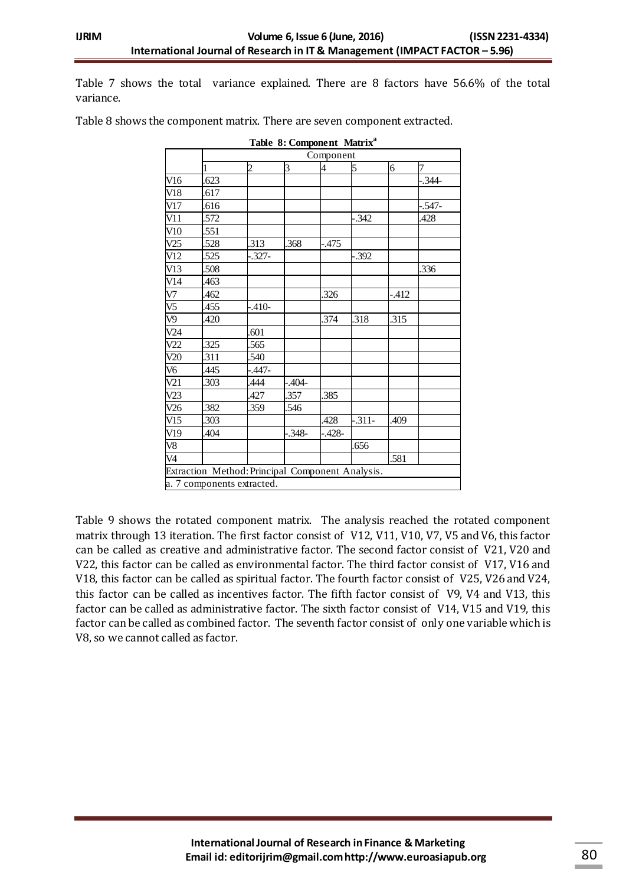Table 7 shows the total variance explained. There are 8 factors have 56.6% of the total variance.

|     |              |                                                                                |            | Component |         |        |            |
|-----|--------------|--------------------------------------------------------------------------------|------------|-----------|---------|--------|------------|
|     | $\mathbf{1}$ | $\overline{c}$                                                                 | 3          | 4         | 5       | 6      | 7          |
| V16 | .623         |                                                                                |            |           |         |        | $-.344-$   |
| V18 | .617         |                                                                                |            |           |         |        |            |
| V17 | 616          |                                                                                |            |           |         |        | $-0.547 -$ |
| V11 | .572         |                                                                                |            |           | -.342   |        | .428       |
| V10 | .551         |                                                                                |            |           |         |        |            |
| V25 | 528          | 313                                                                            | .368       | -.475     |         |        |            |
| V12 | .525         | -.327-                                                                         |            |           | .392    |        |            |
| V13 | .508         |                                                                                |            |           |         |        | .336       |
| V14 | 463          |                                                                                |            |           |         |        |            |
| V7  | .462         |                                                                                |            | .326      |         | $-412$ |            |
| V5  | .455         | $-.410-$                                                                       |            |           |         |        |            |
| V9  | 420          |                                                                                |            | .374      | .318    | .315   |            |
| V24 |              | .601                                                                           |            |           |         |        |            |
| V22 | 325          | 565                                                                            |            |           |         |        |            |
| V20 | 311          | 540                                                                            |            |           |         |        |            |
| V6  | 445          | $-447-$                                                                        |            |           |         |        |            |
| V21 | .303         | 444                                                                            | $-0.404 -$ |           |         |        |            |
| V23 |              | 427                                                                            | .357       | .385      |         |        |            |
| V26 | 382          | 359                                                                            | .546       |           |         |        |            |
| V15 | 303          |                                                                                |            | .428      | $-311-$ | .409   |            |
| V19 | .404         |                                                                                | $-348-$    | -.428-    |         |        |            |
| V8  |              |                                                                                |            |           | .656    |        |            |
| V4  |              |                                                                                |            |           |         | .581   |            |
|     |              | Extraction Method: Principal Component Analysis.<br>a. 7 components extracted. |            |           |         |        |            |

Table 8 shows the component matrix. There are seven component extracted.

Table 9 shows the rotated component matrix. The analysis reached the rotated component matrix through 13 iteration. The first factor consist of V12, V11, V10, V7, V5 and V6, this factor can be called as creative and administrative factor. The second factor consist of V21, V20 and V22, this factor can be called as environmental factor. The third factor consist of V17, V16 and V18, this factor can be called as spiritual factor. The fourth factor consist of V25, V26 and V24, this factor can be called as incentives factor. The fifth factor consist of V9, V4 and V13, this factor can be called as administrative factor. The sixth factor consist of V14, V15 and V19, this factor can be called as combined factor. The seventh factor consist of only one variable which is V8, so we cannot called as factor.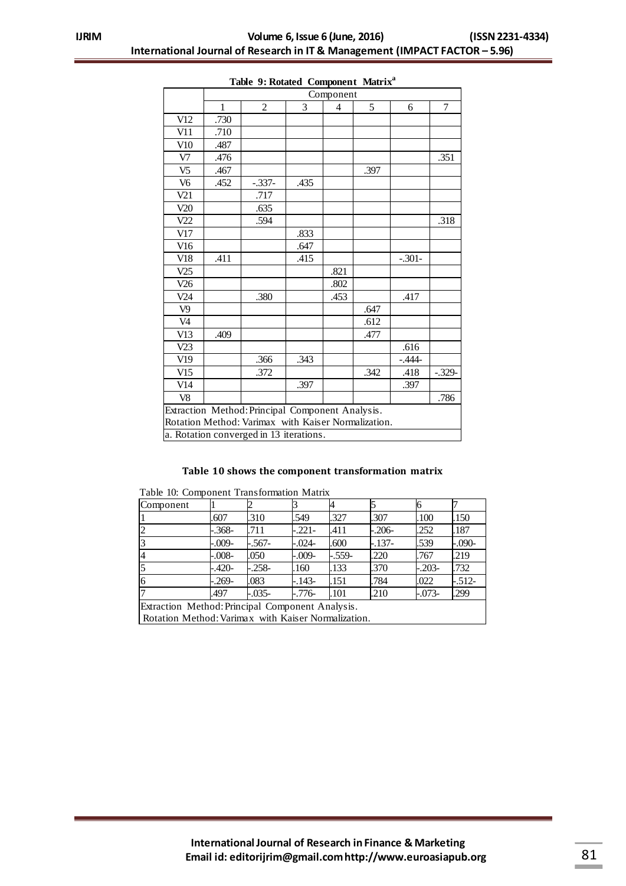|                |              | Component                                           |      |                |      |          |          |  |  |  |  |
|----------------|--------------|-----------------------------------------------------|------|----------------|------|----------|----------|--|--|--|--|
|                | $\mathbf{1}$ | 2                                                   | 3    | $\overline{4}$ | 5    | 6        | 7        |  |  |  |  |
| V12            | .730         |                                                     |      |                |      |          |          |  |  |  |  |
| V11            | .710         |                                                     |      |                |      |          |          |  |  |  |  |
| V10            | .487         |                                                     |      |                |      |          |          |  |  |  |  |
| V7             | .476         |                                                     |      |                |      |          | .351     |  |  |  |  |
| V <sub>5</sub> | .467         |                                                     |      |                | .397 |          |          |  |  |  |  |
| V <sub>6</sub> | .452         | $-.337-$                                            | .435 |                |      |          |          |  |  |  |  |
| V21            |              | .717                                                |      |                |      |          |          |  |  |  |  |
| V20            |              | .635                                                |      |                |      |          |          |  |  |  |  |
| V22            |              | .594                                                |      |                |      |          | .318     |  |  |  |  |
| V17            |              |                                                     | .833 |                |      |          |          |  |  |  |  |
| V16            |              |                                                     | .647 |                |      |          |          |  |  |  |  |
| V18            | .411         |                                                     | .415 |                |      | $-.301-$ |          |  |  |  |  |
| V25            |              |                                                     |      | .821           |      |          |          |  |  |  |  |
| V26            |              |                                                     |      | .802           |      |          |          |  |  |  |  |
| V24            |              | .380                                                |      | .453           |      | .417     |          |  |  |  |  |
| V <sub>9</sub> |              |                                                     |      |                | .647 |          |          |  |  |  |  |
| V <sub>4</sub> |              |                                                     |      |                | .612 |          |          |  |  |  |  |
| V13            | .409         |                                                     |      |                | .477 |          |          |  |  |  |  |
| V23            |              |                                                     |      |                |      | .616     |          |  |  |  |  |
| V19            |              | .366                                                | .343 |                |      | $-.444-$ |          |  |  |  |  |
| V15            |              | .372                                                |      |                | .342 | .418     | $-.329-$ |  |  |  |  |
| V14            |              |                                                     | .397 |                |      | .397     |          |  |  |  |  |
| V <sub>8</sub> |              |                                                     |      |                |      |          | .786     |  |  |  |  |
|                |              | Extraction Method: Principal Component Analysis.    |      |                |      |          |          |  |  |  |  |
|                |              | Rotation Method: Varimax with Kaiser Normalization. |      |                |      |          |          |  |  |  |  |
|                |              | a. Rotation converged in 13 iterations.             |      |                |      |          |          |  |  |  |  |

#### **Table 9: Rotated Component Matrix<sup>a</sup>**

#### **Table 10 shows the component transformation matrix**

| radio 10. Component riansionitation matrix          |                                                  |          |          |          |          |          |          |  |  |
|-----------------------------------------------------|--------------------------------------------------|----------|----------|----------|----------|----------|----------|--|--|
| Component                                           |                                                  |          |          |          |          |          |          |  |  |
|                                                     | .607                                             | .310     | .549     | .327     | .307     | .100     | .150     |  |  |
|                                                     | -.368-                                           | .711     | $-.221-$ | .411     | $-.206-$ | .252     | .187     |  |  |
|                                                     | $-.009-$                                         | -.567-   | -.024-   | .600     | $-.137-$ | .539     | $-.090-$ |  |  |
| 14                                                  | $-.008-$                                         | .050     | $-.009-$ | $-.559-$ | .220     | .767     | .219     |  |  |
|                                                     | -.420-                                           | $-.258-$ | .160     | .133     | .370     | $-.203-$ | .732     |  |  |
| 16                                                  | $-0.269-$                                        | .083     | -.143-   | .151     | .784     | .022     | $-512-$  |  |  |
|                                                     | .497                                             | $-.035-$ | -.776-   | .101     | .210     | $-.073-$ | .299     |  |  |
|                                                     | Extraction Method: Principal Component Analysis. |          |          |          |          |          |          |  |  |
| Rotation Method: Varimax with Kaiser Normalization. |                                                  |          |          |          |          |          |          |  |  |

|  |  |  |  | Table 10: Component Transformation Matrix |  |
|--|--|--|--|-------------------------------------------|--|
|--|--|--|--|-------------------------------------------|--|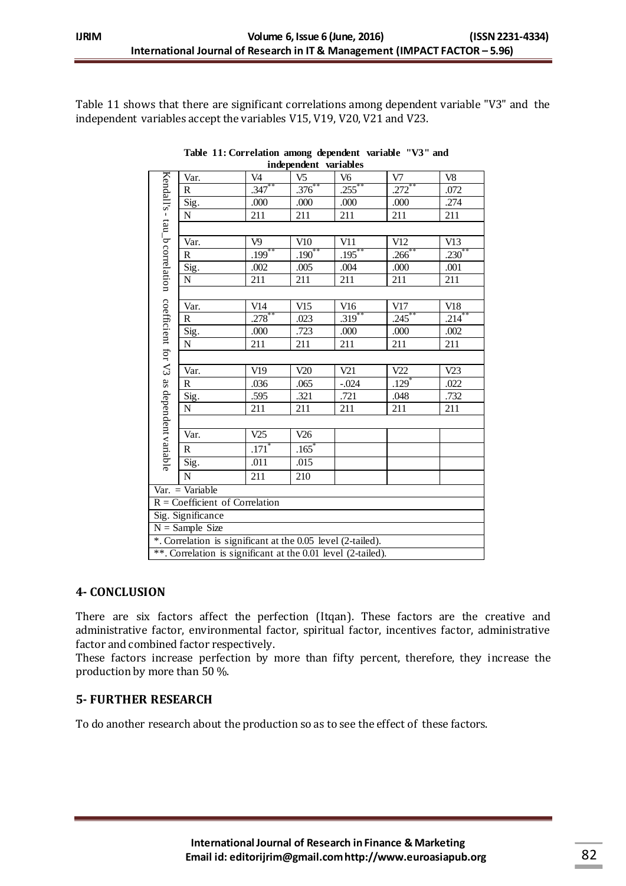Table 11 shows that there are significant correlations among dependent variable "V3" and the independent variables accept the variables V15, V19, V20, V21 and V23.

| Kendall's - tau_b correlation                                | Var.         | V <sub>4</sub> | V <sub>5</sub> | V <sub>6</sub> | V7                  | V8          |  |  |  |
|--------------------------------------------------------------|--------------|----------------|----------------|----------------|---------------------|-------------|--|--|--|
|                                                              | $\mathbb{R}$ | $.347***$      | $.376***$      | $.255***$      | .272                | .072        |  |  |  |
|                                                              | Sig.         | .000           | .000           | .000           | .000                | .274        |  |  |  |
|                                                              | ${\bf N}$    | 211            | 211            | 211            | 211                 | 211         |  |  |  |
|                                                              |              |                |                |                |                     |             |  |  |  |
|                                                              | Var.         | V <sub>9</sub> | V10            | V11            | V12                 | V13         |  |  |  |
|                                                              | R            | $.199***$      | $.190***$      | $.195***$      | $.266^{**}$         | $.230^{**}$ |  |  |  |
|                                                              | Sig.         | .002           | .005           | .004           | .000                | .001        |  |  |  |
|                                                              | ${\bf N}$    | 211            | 211            | 211            | 211                 | 211         |  |  |  |
|                                                              |              |                |                |                |                     |             |  |  |  |
|                                                              | Var.         | V14            | V15            | V16            | V17                 | V18         |  |  |  |
|                                                              | $\mathbb{R}$ | .278           | .023           | $.319***$      | $.245***$           | $.214***$   |  |  |  |
|                                                              | Sig.         | .000           | .723           | .000           | .000                | .002        |  |  |  |
|                                                              | ${\bf N}$    | 211            | 211            | 211            | 211                 | 211         |  |  |  |
|                                                              |              |                |                |                |                     |             |  |  |  |
| coefficient for V3 as dependent variable                     | Var.         | V19            | V20            | V21            | V22                 | V23         |  |  |  |
|                                                              | $\mathbb{R}$ | .036           | .065           | $-.024$        | $.129$ <sup>*</sup> | .022        |  |  |  |
|                                                              | Sig.         | .595           | .321           | .721           | .048                | .732        |  |  |  |
|                                                              | ${\bf N}$    | 211            | 211            | 211            | 211                 | 211         |  |  |  |
|                                                              |              |                |                |                |                     |             |  |  |  |
|                                                              | Var.         | V25            | V26            |                |                     |             |  |  |  |
|                                                              | $\mathbb{R}$ | $.171*$        | $.165*$        |                |                     |             |  |  |  |
|                                                              | Sig.         | .011           | .015           |                |                     |             |  |  |  |
|                                                              | $\mathbf N$  | 211            | 210            |                |                     |             |  |  |  |
| $Var. = Variable$                                            |              |                |                |                |                     |             |  |  |  |
| $R = Coefficient of Correlation$                             |              |                |                |                |                     |             |  |  |  |
| Sig. Significance                                            |              |                |                |                |                     |             |  |  |  |
| $N =$ Sample Size                                            |              |                |                |                |                     |             |  |  |  |
| *. Correlation is significant at the 0.05 level (2-tailed).  |              |                |                |                |                     |             |  |  |  |
| **. Correlation is significant at the 0.01 level (2-tailed). |              |                |                |                |                     |             |  |  |  |

**Table 11: Correlation among dependent variable "V3" and independent variables**

# **4- CONCLUSION**

There are six factors affect the perfection (Itqan). These factors are the creative and administrative factor, environmental factor, spiritual factor, incentives factor, administrative factor and combined factor respectively.

These factors increase perfection by more than fifty percent, therefore, they increase the production by more than 50 %.

# **5- FURTHER RESEARCH**

To do another research about the production so as to see the effect of these factors.